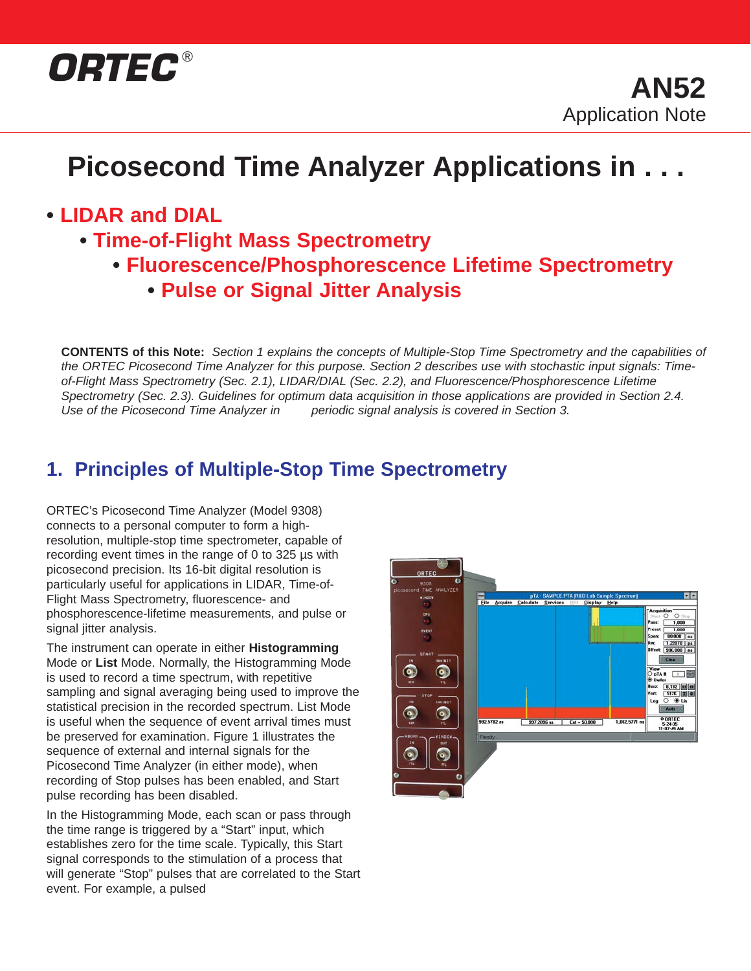

# **Picosecond Time Analyzer Applications in . . .**

### **• LIDAR and DIAL**

- **Time-of-Flight Mass Spectrometry**
	- **Fluorescence/Phosphorescence Lifetime Spectrometry**
		- **Pulse or Signal Jitter Analysis**

**CONTENTS of this Note:** Section 1 explains the concepts of Multiple-Stop Time Spectrometry and the capabilities of the ORTEC Picosecond Time Analyzer for this purpose. Section 2 describes use with stochastic input signals: Timeof-Flight Mass Spectrometry (Sec. 2.1), LIDAR/DIAL (Sec. 2.2), and Fluorescence/Phosphorescence Lifetime Spectrometry (Sec. 2.3). Guidelines for optimum data acquisition in those applications are provided in Section 2.4. Use of the Picosecond Time Analyzer in periodic signal analysis is covered in Section 3.

### **1. Principles of Multiple-Stop Time Spectrometry**

ORTEC's Picosecond Time Analyzer (Model 9308) connects to a personal computer to form a highresolution, multiple-stop time spectrometer, capable of recording event times in the range of 0 to 325 µs with picosecond precision. Its 16-bit digital resolution is particularly useful for applications in LIDAR, Time-of-Flight Mass Spectrometry, fluorescence- and phosphorescence-lifetime measurements, and pulse or signal jitter analysis.

The instrument can operate in either **Histogramming** Mode or **List** Mode. Normally, the Histogramming Mode is used to record a time spectrum, with repetitive sampling and signal averaging being used to improve the statistical precision in the recorded spectrum. List Mode is useful when the sequence of event arrival times must be preserved for examination. Figure 1 illustrates the sequence of external and internal signals for the Picosecond Time Analyzer (in either mode), when recording of Stop pulses has been enabled, and Start pulse recording has been disabled.

In the Histogramming Mode, each scan or pass through the time range is triggered by a "Start" input, which establishes zero for the time scale. Typically, this Start signal corresponds to the stimulation of a process that will generate "Stop" pulses that are correlated to the Start event. For example, a pulsed

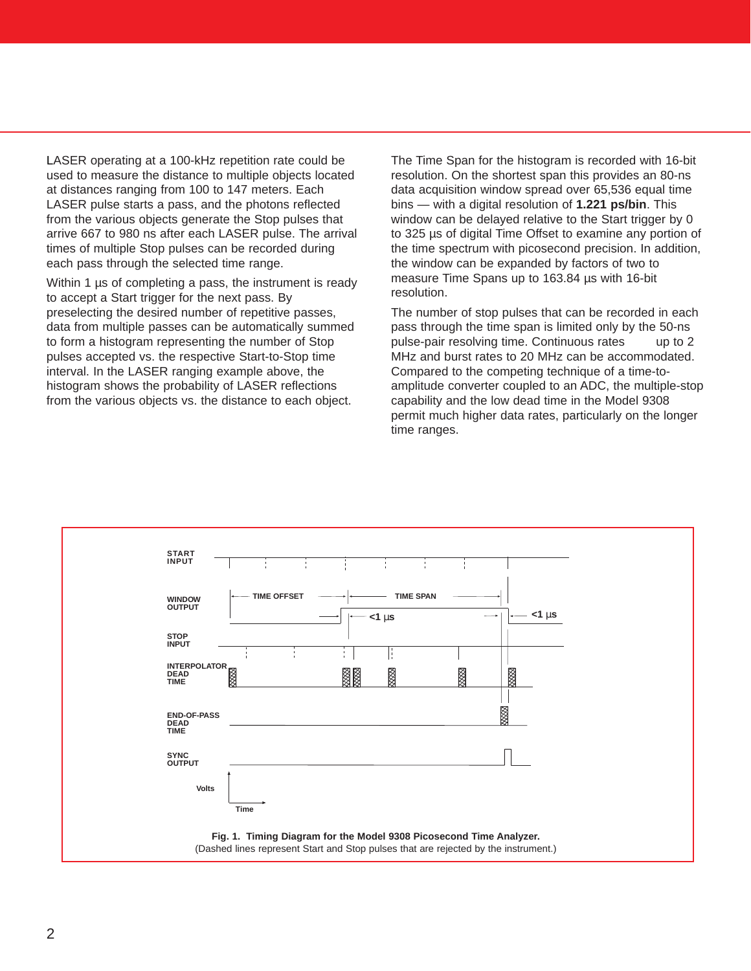LASER operating at a 100-kHz repetition rate could be used to measure the distance to multiple objects located at distances ranging from 100 to 147 meters. Each LASER pulse starts a pass, and the photons reflected from the various objects generate the Stop pulses that arrive 667 to 980 ns after each LASER pulse. The arrival times of multiple Stop pulses can be recorded during each pass through the selected time range.

Within 1 µs of completing a pass, the instrument is ready to accept a Start trigger for the next pass. By preselecting the desired number of repetitive passes, data from multiple passes can be automatically summed to form a histogram representing the number of Stop pulses accepted vs. the respective Start-to-Stop time interval. In the LASER ranging example above, the histogram shows the probability of LASER reflections from the various objects vs. the distance to each object.

The Time Span for the histogram is recorded with 16-bit resolution. On the shortest span this provides an 80-ns data acquisition window spread over 65,536 equal time bins — with a digital resolution of **1.221 ps/bin**. This window can be delayed relative to the Start trigger by 0 to 325 µs of digital Time Offset to examine any portion of the time spectrum with picosecond precision. In addition, the window can be expanded by factors of two to measure Time Spans up to 163.84 µs with 16-bit resolution.

The number of stop pulses that can be recorded in each pass through the time span is limited only by the 50-ns pulse-pair resolving time. Continuous rates up to 2 MHz and burst rates to 20 MHz can be accommodated. Compared to the competing technique of a time-toamplitude converter coupled to an ADC, the multiple-stop capability and the low dead time in the Model 9308 permit much higher data rates, particularly on the longer time ranges.

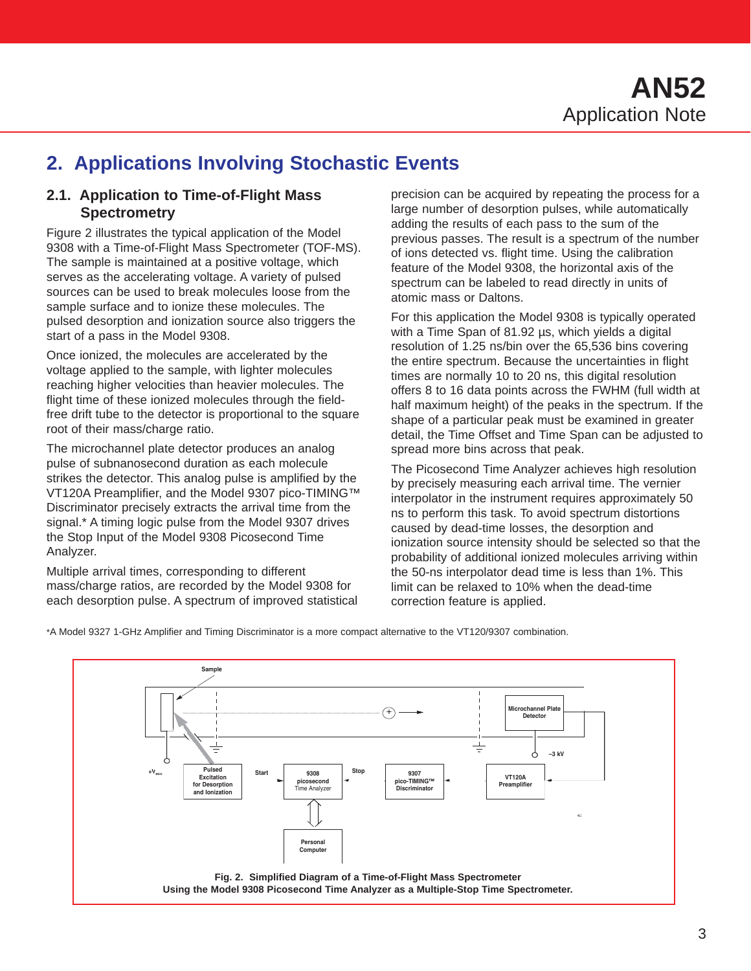### **2. Applications Involving Stochastic Events**

#### **2.1. Application to Time-of-Flight Mass Spectrometry**

Figure 2 illustrates the typical application of the Model 9308 with a Time-of-Flight Mass Spectrometer (TOF-MS). The sample is maintained at a positive voltage, which serves as the accelerating voltage. A variety of pulsed sources can be used to break molecules loose from the sample surface and to ionize these molecules. The pulsed desorption and ionization source also triggers the start of a pass in the Model 9308.

Once ionized, the molecules are accelerated by the voltage applied to the sample, with lighter molecules reaching higher velocities than heavier molecules. The flight time of these ionized molecules through the fieldfree drift tube to the detector is proportional to the square root of their mass/charge ratio.

The microchannel plate detector produces an analog pulse of subnanosecond duration as each molecule strikes the detector. This analog pulse is amplified by the VT120A Preamplifier, and the Model 9307 pico-TIMING™ Discriminator precisely extracts the arrival time from the signal.\* A timing logic pulse from the Model 9307 drives the Stop Input of the Model 9308 Picosecond Time Analyzer.

Multiple arrival times, corresponding to different mass/charge ratios, are recorded by the Model 9308 for each desorption pulse. A spectrum of improved statistical precision can be acquired by repeating the process for a large number of desorption pulses, while automatically adding the results of each pass to the sum of the previous passes. The result is a spectrum of the number of ions detected vs. flight time. Using the calibration feature of the Model 9308, the horizontal axis of the spectrum can be labeled to read directly in units of atomic mass or Daltons.

For this application the Model 9308 is typically operated with a Time Span of 81.92 us, which yields a digital resolution of 1.25 ns/bin over the 65,536 bins covering the entire spectrum. Because the uncertainties in flight times are normally 10 to 20 ns, this digital resolution offers 8 to 16 data points across the FWHM (full width at half maximum height) of the peaks in the spectrum. If the shape of a particular peak must be examined in greater detail, the Time Offset and Time Span can be adjusted to spread more bins across that peak.

The Picosecond Time Analyzer achieves high resolution by precisely measuring each arrival time. The vernier interpolator in the instrument requires approximately 50 ns to perform this task. To avoid spectrum distortions caused by dead-time losses, the desorption and ionization source intensity should be selected so that the probability of additional ionized molecules arriving within the 50-ns interpolator dead time is less than 1%. This limit can be relaxed to 10% when the dead-time correction feature is applied.

\*A Model 9327 1-GHz Amplifier and Timing Discriminator is a more compact alternative to the VT120/9307 combination.

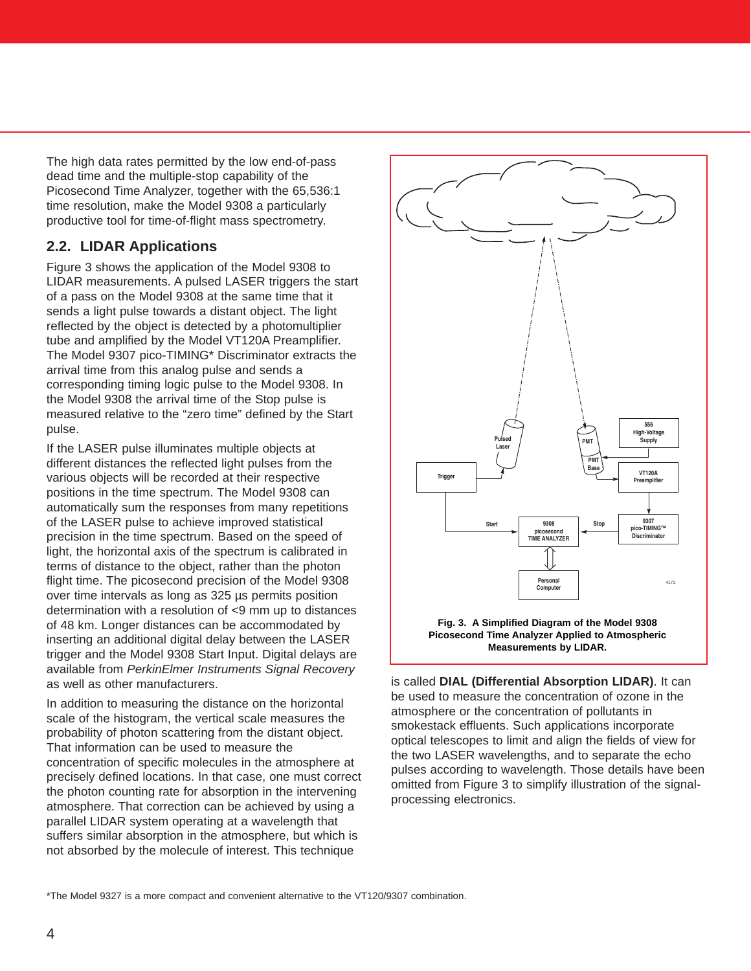The high data rates permitted by the low end-of-pass dead time and the multiple-stop capability of the Picosecond Time Analyzer, together with the 65,536:1 time resolution, make the Model 9308 a particularly productive tool for time-of-flight mass spectrometry.

#### **2.2. LIDAR Applications**

Figure 3 shows the application of the Model 9308 to LIDAR measurements. A pulsed LASER triggers the start of a pass on the Model 9308 at the same time that it sends a light pulse towards a distant object. The light reflected by the object is detected by a photomultiplier tube and amplified by the Model VT120A Preamplifier. The Model 9307 pico-TIMING\* Discriminator extracts the arrival time from this analog pulse and sends a corresponding timing logic pulse to the Model 9308. In the Model 9308 the arrival time of the Stop pulse is measured relative to the "zero time" defined by the Start pulse.

If the LASER pulse illuminates multiple objects at different distances the reflected light pulses from the various objects will be recorded at their respective positions in the time spectrum. The Model 9308 can automatically sum the responses from many repetitions of the LASER pulse to achieve improved statistical precision in the time spectrum. Based on the speed of light, the horizontal axis of the spectrum is calibrated in terms of distance to the object, rather than the photon flight time. The picosecond precision of the Model 9308 over time intervals as long as 325 µs permits position determination with a resolution of <9 mm up to distances of 48 km. Longer distances can be accommodated by inserting an additional digital delay between the LASER trigger and the Model 9308 Start Input. Digital delays are available from PerkinElmer Instruments Signal Recovery as well as other manufacturers.

In addition to measuring the distance on the horizontal scale of the histogram, the vertical scale measures the probability of photon scattering from the distant object. That information can be used to measure the concentration of specific molecules in the atmosphere at precisely defined locations. In that case, one must correct the photon counting rate for absorption in the intervening atmosphere. That correction can be achieved by using a parallel LIDAR system operating at a wavelength that suffers similar absorption in the atmosphere, but which is not absorbed by the molecule of interest. This technique





is called **DIAL (Differential Absorption LIDAR)**. It can be used to measure the concentration of ozone in the atmosphere or the concentration of pollutants in smokestack effluents. Such applications incorporate optical telescopes to limit and align the fields of view for the two LASER wavelengths, and to separate the echo pulses according to wavelength. Those details have been omitted from Figure 3 to simplify illustration of the signalprocessing electronics.

\*The Model 9327 is a more compact and convenient alternative to the VT120/9307 combination.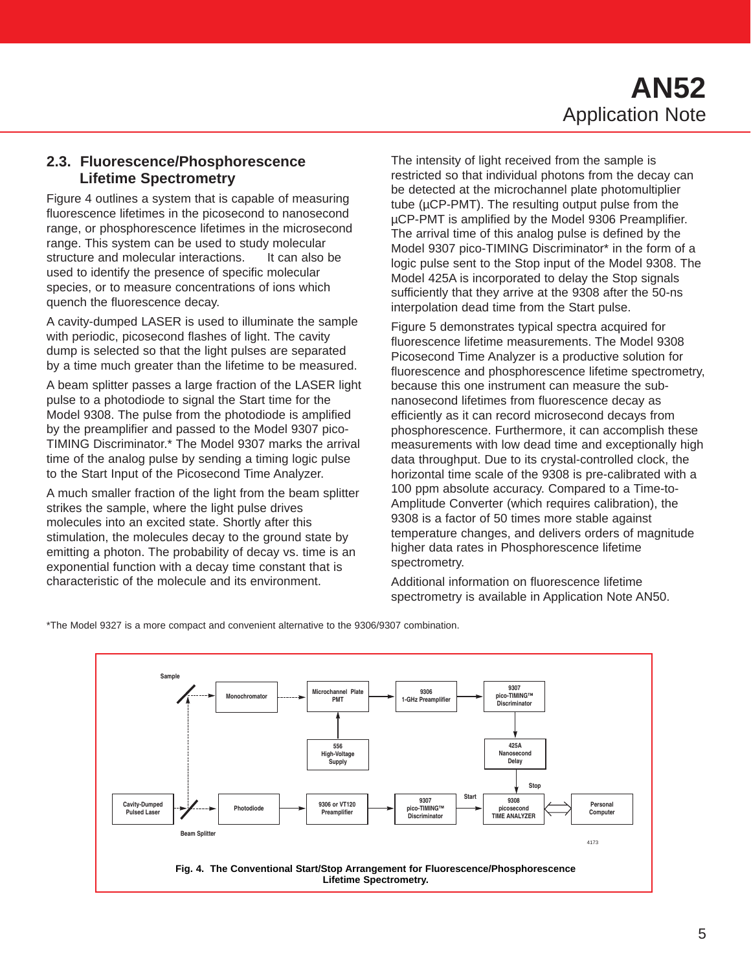## **AN52** Application Note

#### **2.3. Fluorescence/Phosphorescence Lifetime Spectrometry**

Figure 4 outlines a system that is capable of measuring fluorescence lifetimes in the picosecond to nanosecond range, or phosphorescence lifetimes in the microsecond range. This system can be used to study molecular structure and molecular interactions. It can also be used to identify the presence of specific molecular species, or to measure concentrations of ions which quench the fluorescence decay.

A cavity-dumped LASER is used to illuminate the sample with periodic, picosecond flashes of light. The cavity dump is selected so that the light pulses are separated by a time much greater than the lifetime to be measured.

A beam splitter passes a large fraction of the LASER light pulse to a photodiode to signal the Start time for the Model 9308. The pulse from the photodiode is amplified by the preamplifier and passed to the Model 9307 pico-TIMING Discriminator.\* The Model 9307 marks the arrival time of the analog pulse by sending a timing logic pulse to the Start Input of the Picosecond Time Analyzer.

A much smaller fraction of the light from the beam splitter strikes the sample, where the light pulse drives molecules into an excited state. Shortly after this stimulation, the molecules decay to the ground state by emitting a photon. The probability of decay vs. time is an exponential function with a decay time constant that is characteristic of the molecule and its environment.

The intensity of light received from the sample is restricted so that individual photons from the decay can be detected at the microchannel plate photomultiplier tube (µCP-PMT). The resulting output pulse from the µCP-PMT is amplified by the Model 9306 Preamplifier. The arrival time of this analog pulse is defined by the Model 9307 pico-TIMING Discriminator\* in the form of a logic pulse sent to the Stop input of the Model 9308. The Model 425A is incorporated to delay the Stop signals sufficiently that they arrive at the 9308 after the 50-ns interpolation dead time from the Start pulse.

Figure 5 demonstrates typical spectra acquired for fluorescence lifetime measurements. The Model 9308 Picosecond Time Analyzer is a productive solution for fluorescence and phosphorescence lifetime spectrometry, because this one instrument can measure the subnanosecond lifetimes from fluorescence decay as efficiently as it can record microsecond decays from phosphorescence. Furthermore, it can accomplish these measurements with low dead time and exceptionally high data throughput. Due to its crystal-controlled clock, the horizontal time scale of the 9308 is pre-calibrated with a 100 ppm absolute accuracy. Compared to a Time-to-Amplitude Converter (which requires calibration), the 9308 is a factor of 50 times more stable against temperature changes, and delivers orders of magnitude higher data rates in Phosphorescence lifetime spectrometry.

Additional information on fluorescence lifetime spectrometry is available in Application Note AN50.

\*The Model 9327 is a more compact and convenient alternative to the 9306/9307 combination.

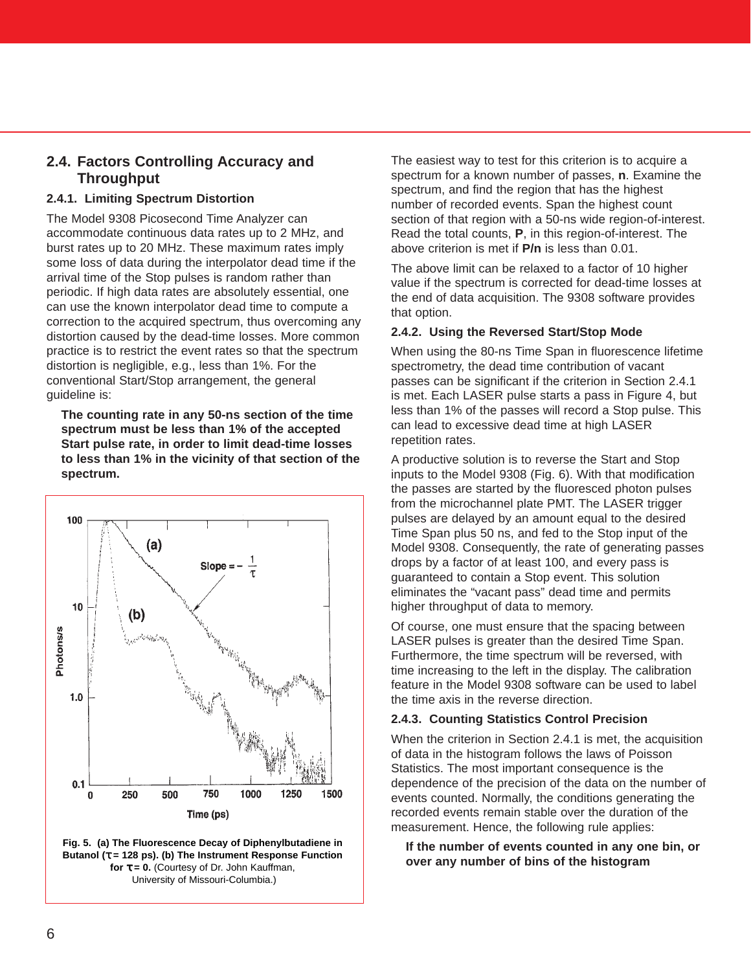#### **2.4. Factors Controlling Accuracy and Throughput**

#### **2.4.1. Limiting Spectrum Distortion**

The Model 9308 Picosecond Time Analyzer can accommodate continuous data rates up to 2 MHz, and burst rates up to 20 MHz. These maximum rates imply some loss of data during the interpolator dead time if the arrival time of the Stop pulses is random rather than periodic. If high data rates are absolutely essential, one can use the known interpolator dead time to compute a correction to the acquired spectrum, thus overcoming any distortion caused by the dead-time losses. More common practice is to restrict the event rates so that the spectrum distortion is negligible, e.g., less than 1%. For the conventional Start/Stop arrangement, the general guideline is:

**The counting rate in any 50-ns section of the time spectrum must be less than 1% of the accepted Start pulse rate, in order to limit dead-time losses to less than 1% in the vicinity of that section of the spectrum.**





The easiest way to test for this criterion is to acquire a spectrum for a known number of passes, **n**. Examine the spectrum, and find the region that has the highest number of recorded events. Span the highest count section of that region with a 50-ns wide region-of-interest. Read the total counts, **P**, in this region-of-interest. The above criterion is met if **P/n** is less than 0.01.

The above limit can be relaxed to a factor of 10 higher value if the spectrum is corrected for dead-time losses at the end of data acquisition. The 9308 software provides that option.

#### **2.4.2. Using the Reversed Start/Stop Mode**

When using the 80-ns Time Span in fluorescence lifetime spectrometry, the dead time contribution of vacant passes can be significant if the criterion in Section 2.4.1 is met. Each LASER pulse starts a pass in Figure 4, but less than 1% of the passes will record a Stop pulse. This can lead to excessive dead time at high LASER repetition rates.

A productive solution is to reverse the Start and Stop inputs to the Model 9308 (Fig. 6). With that modification the passes are started by the fluoresced photon pulses from the microchannel plate PMT. The LASER trigger pulses are delayed by an amount equal to the desired Time Span plus 50 ns, and fed to the Stop input of the Model 9308. Consequently, the rate of generating passes drops by a factor of at least 100, and every pass is guaranteed to contain a Stop event. This solution eliminates the "vacant pass" dead time and permits higher throughput of data to memory.

Of course, one must ensure that the spacing between LASER pulses is greater than the desired Time Span. Furthermore, the time spectrum will be reversed, with time increasing to the left in the display. The calibration feature in the Model 9308 software can be used to label the time axis in the reverse direction.

#### **2.4.3. Counting Statistics Control Precision**

When the criterion in Section 2.4.1 is met, the acquisition of data in the histogram follows the laws of Poisson Statistics. The most important consequence is the dependence of the precision of the data on the number of events counted. Normally, the conditions generating the recorded events remain stable over the duration of the measurement. Hence, the following rule applies:

**If the number of events counted in any one bin, or over any number of bins of the histogram**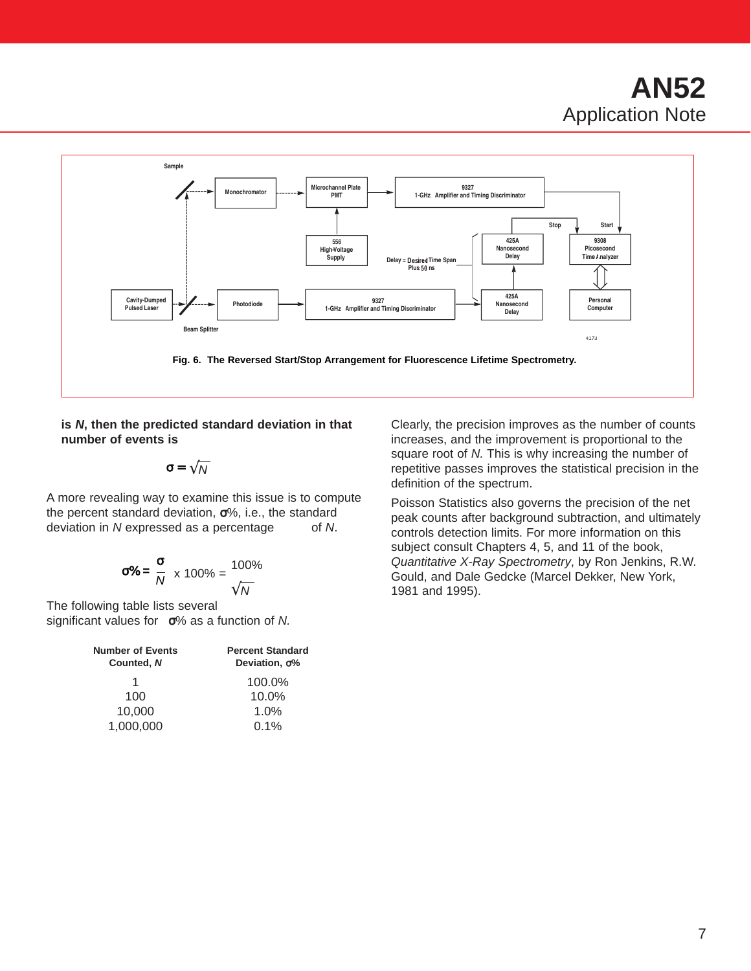

**is N, then the predicted standard deviation in that number of events is**

 $\sigma = \sqrt{N}$ 

A more revealing way to examine this issue is to compute the percent standard deviation, σ%, i.e., the standard deviation in N expressed as a percentage of N.

$$
\sigma\% = \frac{\sigma}{N} \times 100\% = \frac{100\%}{\sqrt{N}}
$$

The following table lists several significant values for  $\sigma$ % as a function of N.

| <b>Number of Events</b><br>Counted, N | <b>Percent Standard</b><br>Deviation, σ% |
|---------------------------------------|------------------------------------------|
| 1                                     | 100.0%                                   |
| 100                                   | $10.0\%$                                 |
| 10.000                                | 1.0%                                     |
| 1,000,000                             | $0.1\%$                                  |

Clearly, the precision improves as the number of counts increases, and the improvement is proportional to the square root of N. This is why increasing the number of repetitive passes improves the statistical precision in the definition of the spectrum.

Poisson Statistics also governs the precision of the net peak counts after background subtraction, and ultimately controls detection limits. For more information on this subject consult Chapters 4, 5, and 11 of the book, Quantitative X-Ray Spectrometry, by Ron Jenkins, R.W. Gould, and Dale Gedcke (Marcel Dekker, New York, 1981 and 1995).